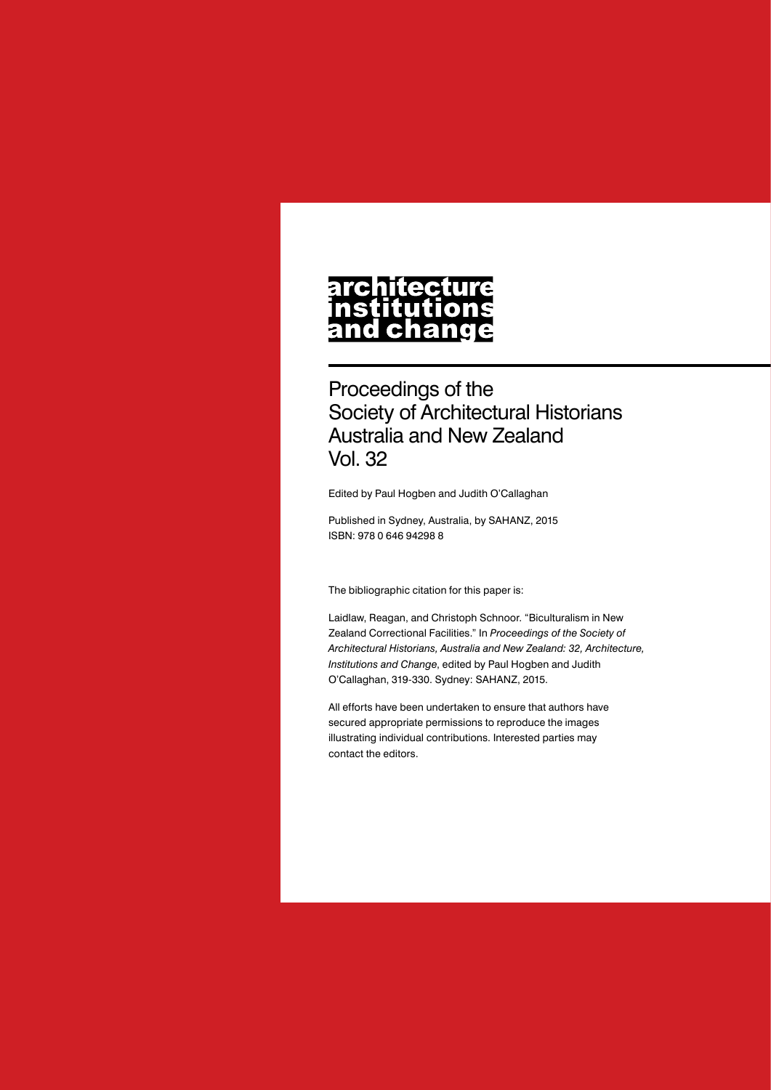# architecture nstitutions<br>and change

Proceedings of the Society of Architectural Historians Australia and New Zealand Vol. 32

Edited by Paul Hogben and Judith O'Callaghan

Published in Sydney, Australia, by SAHANZ, 2015 ISBN: 978 0 646 94298 8

The bibliographic citation for this paper is:

Laidlaw, Reagan, and Christoph Schnoor. "Biculturalism in New Zealand Correctional Facilities." In *Proceedings of the Society of Architectural Historians, Australia and New Zealand: 32, Architecture, Institutions and Change*, edited by Paul Hogben and Judith O'Callaghan, 319-330. Sydney: SAHANZ, 2015.

All efforts have been undertaken to ensure that authors have secured appropriate permissions to reproduce the images illustrating individual contributions. Interested parties may contact the editors.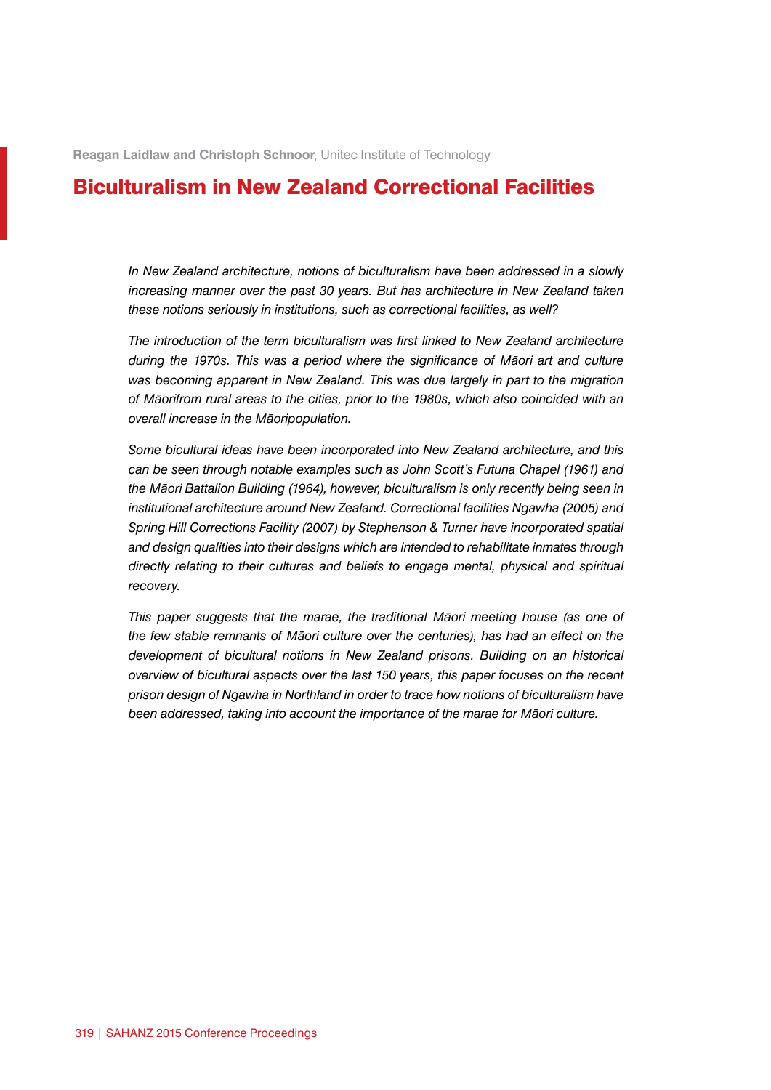**Reagan Laidlaw and Christoph Schnoor**, Unitec Institute of Technology

# Biculturalism in New Zealand Correctional Facilities

*In New Zealand architecture, notions of biculturalism have been addressed in a slowly increasing manner over the past 30 years. But has architecture in New Zealand taken these notions seriously in institutions, such as correctional facilities, as well?*

*The introduction of the term biculturalism was first linked to New Zealand architecture during the 1970s. This was a period where the significance of Māori art and culture*  was becoming apparent in New Zealand. This was due largely in part to the migration *of Māorifrom rural areas to the cities, prior to the 1980s, which also coincided with an overall increase in the Māoripopulation.*

*Some bicultural ideas have been incorporated into New Zealand architecture, and this can be seen through notable examples such as John Scott's Futuna Chapel (1961) and the Māori Battalion Building (1964), however, biculturalism is only recently being seen in institutional architecture around New Zealand. Correctional facilities Ngawha (2005) and Spring Hill Corrections Facility (2007) by Stephenson & Turner have incorporated spatial and design qualities into their designs which are intended to rehabilitate inmates through directly relating to their cultures and beliefs to engage mental, physical and spiritual recovery.*

*This paper suggests that the marae, the traditional Māori meeting house (as one of the few stable remnants of Māori culture over the centuries), has had an effect on the development of bicultural notions in New Zealand prisons. Building on an historical overview of bicultural aspects over the last 150 years, this paper focuses on the recent prison design of Ngawha in Northland in order to trace how notions of biculturalism have been addressed, taking into account the importance of the marae for Māori culture.*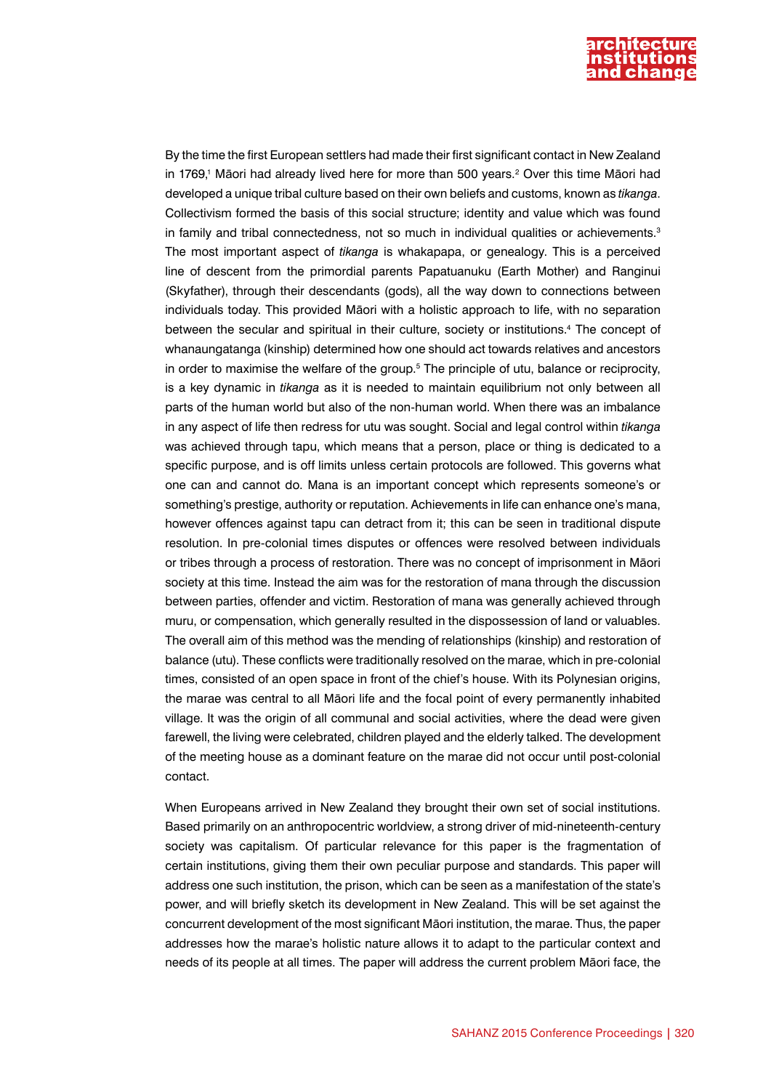

By the time the first European settlers had made their first significant contact in New Zealand in 1769,<sup>1</sup> Māori had already lived here for more than 500 years.<sup>2</sup> Over this time Māori had developed a unique tribal culture based on their own beliefs and customs, known as *tikanga*. Collectivism formed the basis of this social structure; identity and value which was found in family and tribal connectedness, not so much in individual qualities or achievements.<sup>3</sup> The most important aspect of *tikanga* is whakapapa, or genealogy. This is a perceived line of descent from the primordial parents Papatuanuku (Earth Mother) and Ranginui (Skyfather), through their descendants (gods), all the way down to connections between individuals today. This provided Māori with a holistic approach to life, with no separation between the secular and spiritual in their culture, society or institutions.4 The concept of whanaungatanga (kinship) determined how one should act towards relatives and ancestors in order to maximise the welfare of the group.<sup>5</sup> The principle of utu, balance or reciprocity, is a key dynamic in *tikanga* as it is needed to maintain equilibrium not only between all parts of the human world but also of the non-human world. When there was an imbalance in any aspect of life then redress for utu was sought. Social and legal control within *tikanga* was achieved through tapu, which means that a person, place or thing is dedicated to a specific purpose, and is off limits unless certain protocols are followed. This governs what one can and cannot do. Mana is an important concept which represents someone's or something's prestige, authority or reputation. Achievements in life can enhance one's mana, however offences against tapu can detract from it; this can be seen in traditional dispute resolution. In pre-colonial times disputes or offences were resolved between individuals or tribes through a process of restoration. There was no concept of imprisonment in Māori society at this time. Instead the aim was for the restoration of mana through the discussion between parties, offender and victim. Restoration of mana was generally achieved through muru, or compensation, which generally resulted in the dispossession of land or valuables. The overall aim of this method was the mending of relationships (kinship) and restoration of balance (utu). These conflicts were traditionally resolved on the marae, which in pre-colonial times, consisted of an open space in front of the chief's house. With its Polynesian origins, the marae was central to all Māori life and the focal point of every permanently inhabited village. It was the origin of all communal and social activities, where the dead were given farewell, the living were celebrated, children played and the elderly talked. The development of the meeting house as a dominant feature on the marae did not occur until post-colonial contact.

When Europeans arrived in New Zealand they brought their own set of social institutions. Based primarily on an anthropocentric worldview, a strong driver of mid-nineteenth-century society was capitalism. Of particular relevance for this paper is the fragmentation of certain institutions, giving them their own peculiar purpose and standards. This paper will address one such institution, the prison, which can be seen as a manifestation of the state's power, and will briefly sketch its development in New Zealand. This will be set against the concurrent development of the most significant Māori institution, the marae. Thus, the paper addresses how the marae's holistic nature allows it to adapt to the particular context and needs of its people at all times. The paper will address the current problem Māori face, the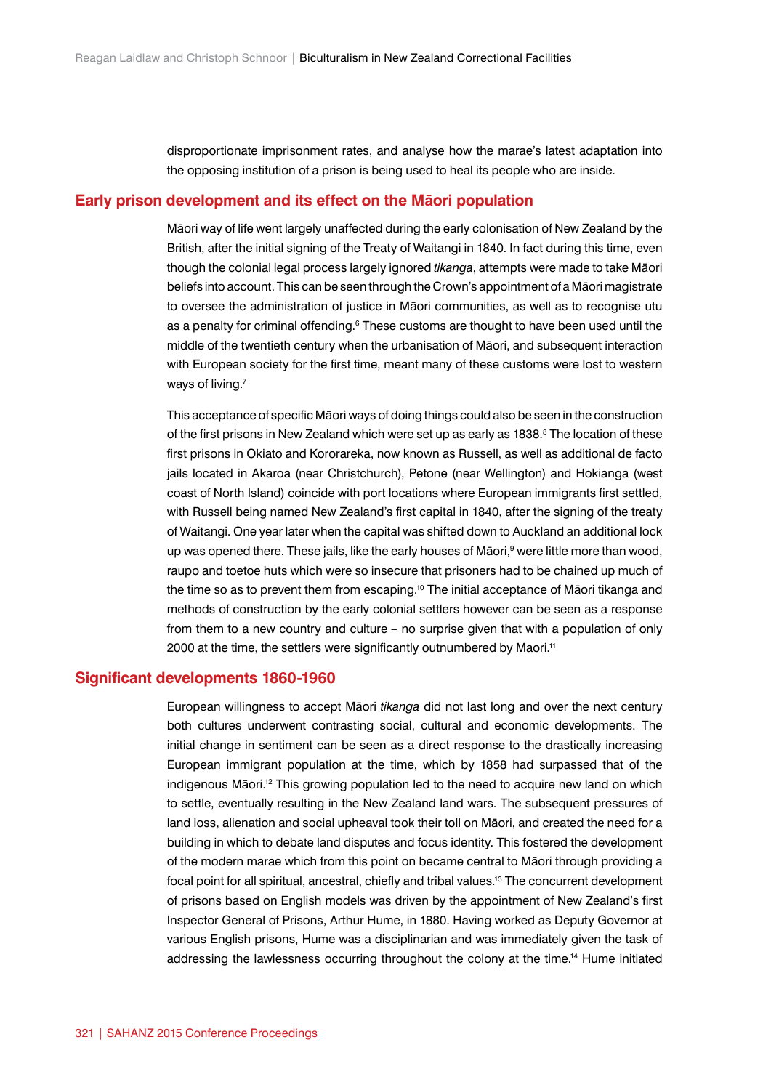disproportionate imprisonment rates, and analyse how the marae's latest adaptation into the opposing institution of a prison is being used to heal its people who are inside.

#### **Early prison development and its effect on the Māori population**

Māori way of life went largely unaffected during the early colonisation of New Zealand by the British, after the initial signing of the Treaty of Waitangi in 1840. In fact during this time, even though the colonial legal process largely ignored *tikanga*, attempts were made to take Māori beliefs into account. This can be seen through the Crown's appointment of a Māori magistrate to oversee the administration of justice in Māori communities, as well as to recognise utu as a penalty for criminal offending.<sup>6</sup> These customs are thought to have been used until the middle of the twentieth century when the urbanisation of Māori, and subsequent interaction with European society for the first time, meant many of these customs were lost to western ways of living.<sup>7</sup>

This acceptance of specific Māori ways of doing things could also be seen in the construction of the first prisons in New Zealand which were set up as early as 1838.<sup>8</sup> The location of these first prisons in Okiato and Kororareka, now known as Russell, as well as additional de facto jails located in Akaroa (near Christchurch), Petone (near Wellington) and Hokianga (west coast of North Island) coincide with port locations where European immigrants first settled, with Russell being named New Zealand's first capital in 1840, after the signing of the treaty of Waitangi. One year later when the capital was shifted down to Auckland an additional lock up was opened there. These jails, like the early houses of Māori,<sup>9</sup> were little more than wood, raupo and toetoe huts which were so insecure that prisoners had to be chained up much of the time so as to prevent them from escaping.<sup>10</sup> The initial acceptance of Māori tikanga and methods of construction by the early colonial settlers however can be seen as a response from them to a new country and culture – no surprise given that with a population of only 2000 at the time, the settlers were significantly outnumbered by Maori.<sup>11</sup>

#### **Significant developments 1860-1960**

European willingness to accept Māori *tikanga* did not last long and over the next century both cultures underwent contrasting social, cultural and economic developments. The initial change in sentiment can be seen as a direct response to the drastically increasing European immigrant population at the time, which by 1858 had surpassed that of the indigenous Māori.<sup>12</sup> This growing population led to the need to acquire new land on which to settle, eventually resulting in the New Zealand land wars. The subsequent pressures of land loss, alienation and social upheaval took their toll on Māori, and created the need for a building in which to debate land disputes and focus identity. This fostered the development of the modern marae which from this point on became central to Māori through providing a focal point for all spiritual, ancestral, chiefly and tribal values.<sup>13</sup> The concurrent development of prisons based on English models was driven by the appointment of New Zealand's first Inspector General of Prisons, Arthur Hume, in 1880. Having worked as Deputy Governor at various English prisons, Hume was a disciplinarian and was immediately given the task of addressing the lawlessness occurring throughout the colony at the time.14 Hume initiated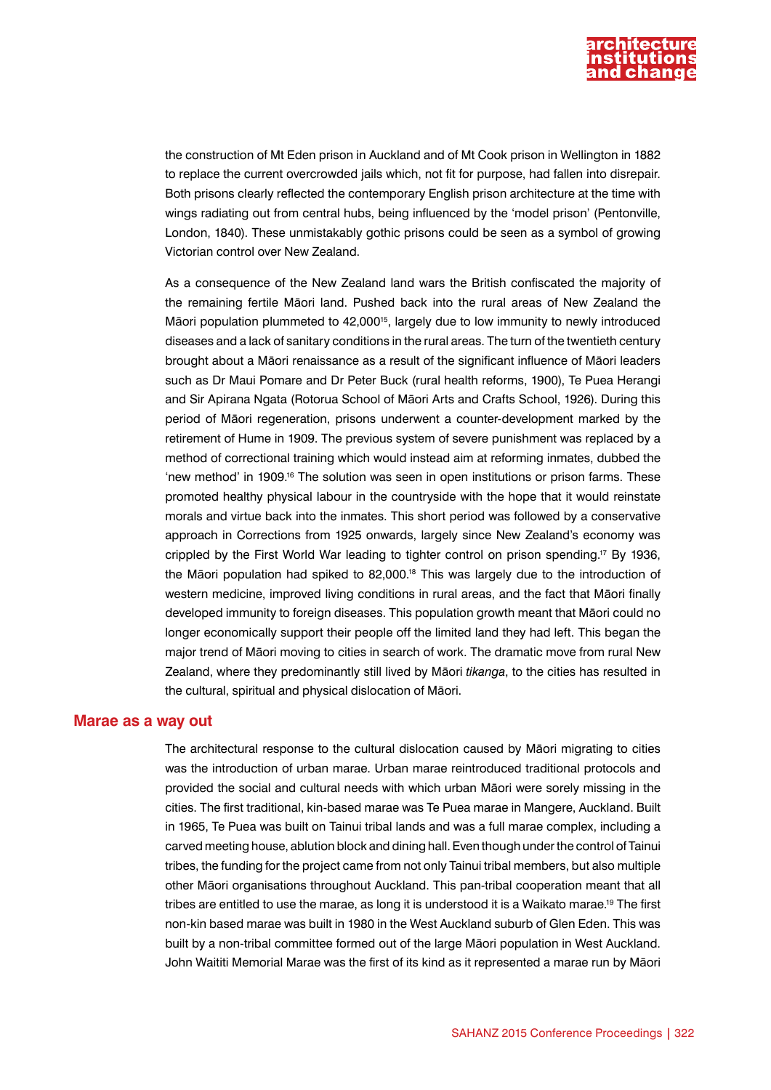

the construction of Mt Eden prison in Auckland and of Mt Cook prison in Wellington in 1882 to replace the current overcrowded jails which, not fit for purpose, had fallen into disrepair. Both prisons clearly reflected the contemporary English prison architecture at the time with wings radiating out from central hubs, being influenced by the 'model prison' (Pentonville, London, 1840). These unmistakably gothic prisons could be seen as a symbol of growing Victorian control over New Zealand.

As a consequence of the New Zealand land wars the British confiscated the majority of the remaining fertile Māori land. Pushed back into the rural areas of New Zealand the Māori population plummeted to 42,00015, largely due to low immunity to newly introduced diseases and a lack of sanitary conditions in the rural areas. The turn of the twentieth century brought about a Māori renaissance as a result of the significant influence of Māori leaders such as Dr Maui Pomare and Dr Peter Buck (rural health reforms, 1900), Te Puea Herangi and Sir Apirana Ngata (Rotorua School of Māori Arts and Crafts School, 1926). During this period of Māori regeneration, prisons underwent a counter-development marked by the retirement of Hume in 1909. The previous system of severe punishment was replaced by a method of correctional training which would instead aim at reforming inmates, dubbed the 'new method' in 1909.16 The solution was seen in open institutions or prison farms. These promoted healthy physical labour in the countryside with the hope that it would reinstate morals and virtue back into the inmates. This short period was followed by a conservative approach in Corrections from 1925 onwards, largely since New Zealand's economy was crippled by the First World War leading to tighter control on prison spending.17 By 1936, the Māori population had spiked to 82,000.18 This was largely due to the introduction of western medicine, improved living conditions in rural areas, and the fact that Māori finally developed immunity to foreign diseases. This population growth meant that Māori could no longer economically support their people off the limited land they had left. This began the major trend of Māori moving to cities in search of work. The dramatic move from rural New Zealand, where they predominantly still lived by Māori *tikanga*, to the cities has resulted in the cultural, spiritual and physical dislocation of Māori.

#### **Marae as a way out**

The architectural response to the cultural dislocation caused by Māori migrating to cities was the introduction of urban marae. Urban marae reintroduced traditional protocols and provided the social and cultural needs with which urban Māori were sorely missing in the cities. The first traditional, kin-based marae was Te Puea marae in Mangere, Auckland. Built in 1965, Te Puea was built on Tainui tribal lands and was a full marae complex, including a carved meeting house, ablution block and dining hall. Even though under the control of Tainui tribes, the funding for the project came from not only Tainui tribal members, but also multiple other Māori organisations throughout Auckland. This pan-tribal cooperation meant that all tribes are entitled to use the marae, as long it is understood it is a Waikato marae.19 The first non-kin based marae was built in 1980 in the West Auckland suburb of Glen Eden. This was built by a non-tribal committee formed out of the large Māori population in West Auckland. John Waititi Memorial Marae was the first of its kind as it represented a marae run by Māori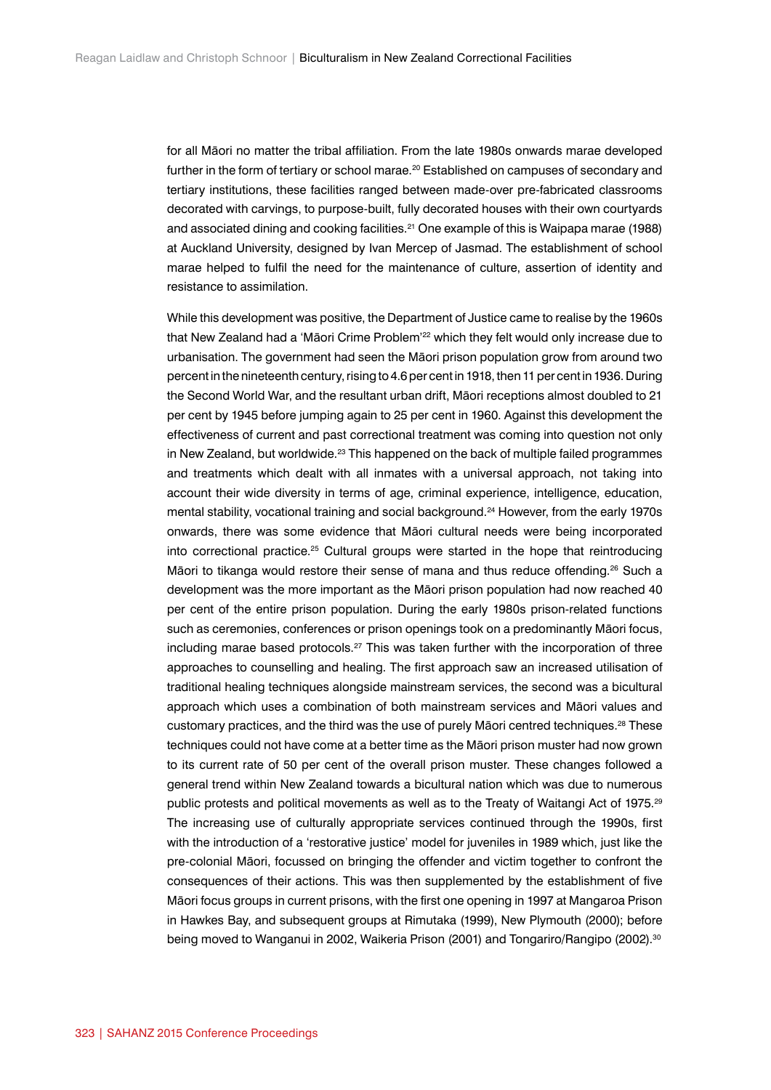for all Māori no matter the tribal affiliation. From the late 1980s onwards marae developed further in the form of tertiary or school marae.<sup>20</sup> Established on campuses of secondary and tertiary institutions, these facilities ranged between made-over pre-fabricated classrooms decorated with carvings, to purpose-built, fully decorated houses with their own courtyards and associated dining and cooking facilities.21 One example of this is Waipapa marae (1988) at Auckland University, designed by Ivan Mercep of Jasmad. The establishment of school marae helped to fulfil the need for the maintenance of culture, assertion of identity and resistance to assimilation.

While this development was positive, the Department of Justice came to realise by the 1960s that New Zealand had a 'Māori Crime Problem'22 which they felt would only increase due to urbanisation. The government had seen the Māori prison population grow from around two percent in the nineteenth century, rising to 4.6 per cent in 1918, then 11 per cent in 1936. During the Second World War, and the resultant urban drift, Māori receptions almost doubled to 21 per cent by 1945 before jumping again to 25 per cent in 1960. Against this development the effectiveness of current and past correctional treatment was coming into question not only in New Zealand, but worldwide. $23$  This happened on the back of multiple failed programmes and treatments which dealt with all inmates with a universal approach, not taking into account their wide diversity in terms of age, criminal experience, intelligence, education, mental stability, vocational training and social background.24 However, from the early 1970s onwards, there was some evidence that Māori cultural needs were being incorporated into correctional practice.25 Cultural groups were started in the hope that reintroducing Māori to tikanga would restore their sense of mana and thus reduce offending.<sup>26</sup> Such a development was the more important as the Māori prison population had now reached 40 per cent of the entire prison population. During the early 1980s prison-related functions such as ceremonies, conferences or prison openings took on a predominantly Māori focus, including marae based protocols.<sup>27</sup> This was taken further with the incorporation of three approaches to counselling and healing. The first approach saw an increased utilisation of traditional healing techniques alongside mainstream services, the second was a bicultural approach which uses a combination of both mainstream services and Māori values and customary practices, and the third was the use of purely Māori centred techniques.<sup>28</sup> These techniques could not have come at a better time as the Māori prison muster had now grown to its current rate of 50 per cent of the overall prison muster. These changes followed a general trend within New Zealand towards a bicultural nation which was due to numerous public protests and political movements as well as to the Treaty of Waitangi Act of 1975.<sup>29</sup> The increasing use of culturally appropriate services continued through the 1990s, first with the introduction of a 'restorative justice' model for juveniles in 1989 which, just like the pre-colonial Māori, focussed on bringing the offender and victim together to confront the consequences of their actions. This was then supplemented by the establishment of five Māori focus groups in current prisons, with the first one opening in 1997 at Mangaroa Prison in Hawkes Bay, and subsequent groups at Rimutaka (1999), New Plymouth (2000); before being moved to Wanganui in 2002, Waikeria Prison (2001) and Tongariro/Rangipo (2002).<sup>30</sup>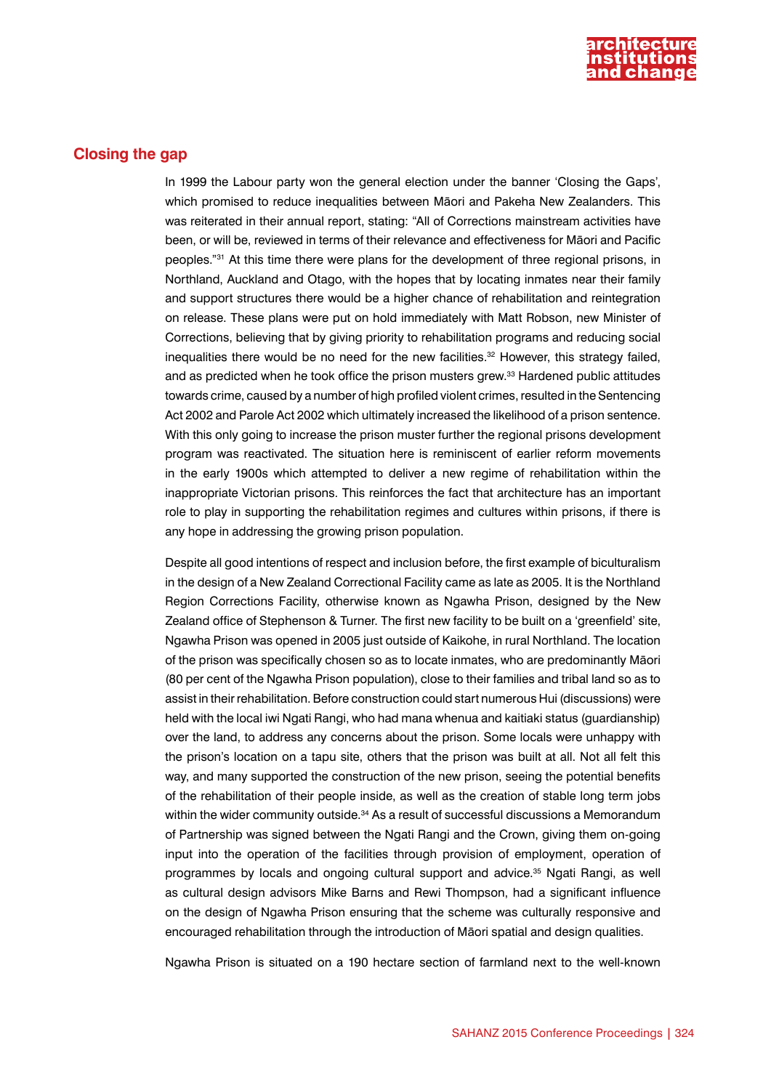

### **Closing the gap**

In 1999 the Labour party won the general election under the banner 'Closing the Gaps', which promised to reduce inequalities between Māori and Pakeha New Zealanders. This was reiterated in their annual report, stating: "All of Corrections mainstream activities have been, or will be, reviewed in terms of their relevance and effectiveness for Māori and Pacific peoples."31 At this time there were plans for the development of three regional prisons, in Northland, Auckland and Otago, with the hopes that by locating inmates near their family and support structures there would be a higher chance of rehabilitation and reintegration on release. These plans were put on hold immediately with Matt Robson, new Minister of Corrections, believing that by giving priority to rehabilitation programs and reducing social inequalities there would be no need for the new facilities.<sup>32</sup> However, this strategy failed, and as predicted when he took office the prison musters grew.33 Hardened public attitudes towards crime, caused by a number of high profiled violent crimes, resulted in the Sentencing Act 2002 and Parole Act 2002 which ultimately increased the likelihood of a prison sentence. With this only going to increase the prison muster further the regional prisons development program was reactivated. The situation here is reminiscent of earlier reform movements in the early 1900s which attempted to deliver a new regime of rehabilitation within the inappropriate Victorian prisons. This reinforces the fact that architecture has an important role to play in supporting the rehabilitation regimes and cultures within prisons, if there is any hope in addressing the growing prison population.

Despite all good intentions of respect and inclusion before, the first example of biculturalism in the design of a New Zealand Correctional Facility came as late as 2005. It is the Northland Region Corrections Facility, otherwise known as Ngawha Prison, designed by the New Zealand office of Stephenson & Turner. The first new facility to be built on a 'greenfield' site, Ngawha Prison was opened in 2005 just outside of Kaikohe, in rural Northland. The location of the prison was specifically chosen so as to locate inmates, who are predominantly Māori (80 per cent of the Ngawha Prison population), close to their families and tribal land so as to assist in their rehabilitation. Before construction could start numerous Hui (discussions) were held with the local iwi Ngati Rangi, who had mana whenua and kaitiaki status (guardianship) over the land, to address any concerns about the prison. Some locals were unhappy with the prison's location on a tapu site, others that the prison was built at all. Not all felt this way, and many supported the construction of the new prison, seeing the potential benefits of the rehabilitation of their people inside, as well as the creation of stable long term jobs within the wider community outside.<sup>34</sup> As a result of successful discussions a Memorandum of Partnership was signed between the Ngati Rangi and the Crown, giving them on-going input into the operation of the facilities through provision of employment, operation of programmes by locals and ongoing cultural support and advice.35 Ngati Rangi, as well as cultural design advisors Mike Barns and Rewi Thompson, had a significant influence on the design of Ngawha Prison ensuring that the scheme was culturally responsive and encouraged rehabilitation through the introduction of Māori spatial and design qualities.

Ngawha Prison is situated on a 190 hectare section of farmland next to the well-known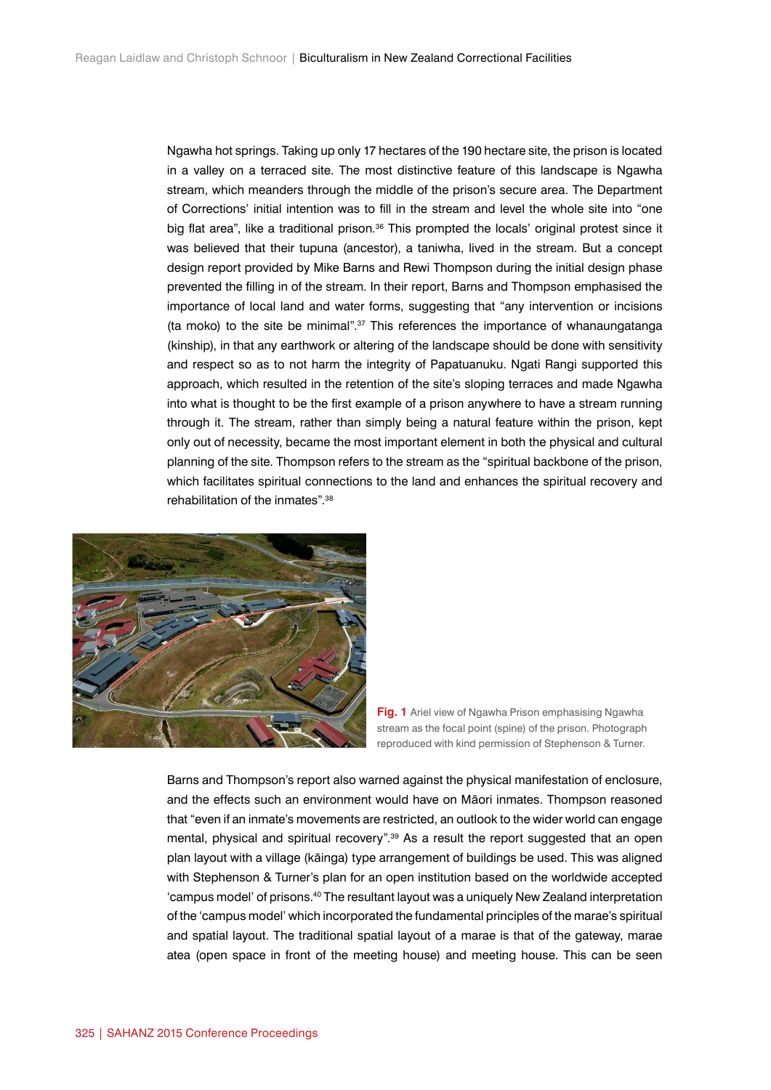Ngawha hot springs. Taking up only 17 hectares of the 190 hectare site, the prison is located in a valley on a terraced site. The most distinctive feature of this landscape is Ngawha stream, which meanders through the middle of the prison's secure area. The Department of Corrections' initial intention was to fill in the stream and level the whole site into "one big flat area", like a traditional prison.<sup>36</sup> This prompted the locals' original protest since it was believed that their tupuna (ancestor), a taniwha, lived in the stream. But a concept design report provided by Mike Barns and Rewi Thompson during the initial design phase prevented the filling in of the stream. In their report, Barns and Thompson emphasised the importance of local land and water forms, suggesting that "any intervention or incisions (ta moko) to the site be minimal".37 This references the importance of whanaungatanga (kinship), in that any earthwork or altering of the landscape should be done with sensitivity and respect so as to not harm the integrity of Papatuanuku. Ngati Rangi supported this approach, which resulted in the retention of the site's sloping terraces and made Ngawha into what is thought to be the first example of a prison anywhere to have a stream running through it. The stream, rather than simply being a natural feature within the prison, kept only out of necessity, became the most important element in both the physical and cultural planning of the site. Thompson refers to the stream as the "spiritual backbone of the prison, which facilitates spiritual connections to the land and enhances the spiritual recovery and rehabilitation of the inmates".38



**Fig. 1** Ariel view of Ngawha Prison emphasising Ngawha stream as the focal point (spine) of the prison. Photograph reproduced with kind permission of Stephenson & Turner.

Barns and Thompson's report also warned against the physical manifestation of enclosure, and the effects such an environment would have on Māori inmates. Thompson reasoned that "even if an inmate's movements are restricted, an outlook to the wider world can engage mental, physical and spiritual recovery".<sup>39</sup> As a result the report suggested that an open plan layout with a village (kāinga) type arrangement of buildings be used. This was aligned with Stephenson & Turner's plan for an open institution based on the worldwide accepted 'campus model' of prisons.40 The resultant layout was a uniquely New Zealand interpretation of the 'campus model' which incorporated the fundamental principles of the marae's spiritual and spatial layout. The traditional spatial layout of a marae is that of the gateway, marae atea (open space in front of the meeting house) and meeting house. This can be seen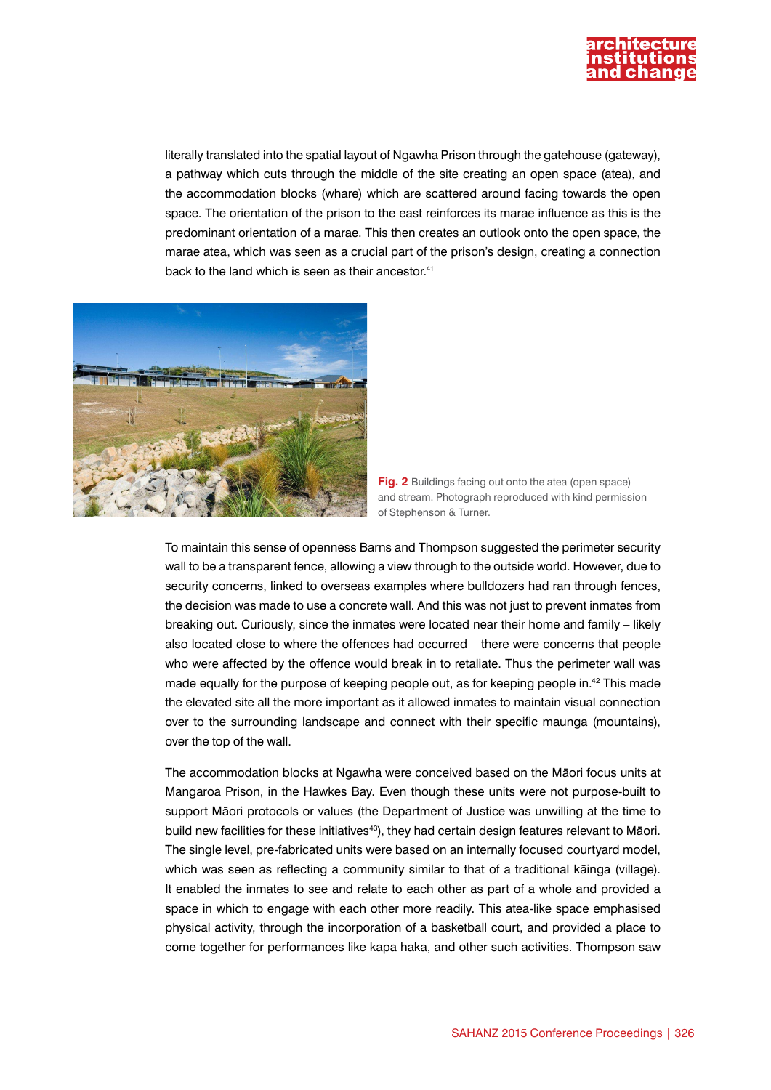

literally translated into the spatial layout of Ngawha Prison through the gatehouse (gateway), a pathway which cuts through the middle of the site creating an open space (atea), and the accommodation blocks (whare) which are scattered around facing towards the open space. The orientation of the prison to the east reinforces its marae influence as this is the predominant orientation of a marae. This then creates an outlook onto the open space, the marae atea, which was seen as a crucial part of the prison's design, creating a connection back to the land which is seen as their ancestor.<sup>41</sup>



**Fig. 2** Buildings facing out onto the atea (open space) and stream. Photograph reproduced with kind permission of Stephenson & Turner.

To maintain this sense of openness Barns and Thompson suggested the perimeter security wall to be a transparent fence, allowing a view through to the outside world. However, due to security concerns, linked to overseas examples where bulldozers had ran through fences, the decision was made to use a concrete wall. And this was not just to prevent inmates from breaking out. Curiously, since the inmates were located near their home and family – likely also located close to where the offences had occurred – there were concerns that people who were affected by the offence would break in to retaliate. Thus the perimeter wall was made equally for the purpose of keeping people out, as for keeping people in.42 This made the elevated site all the more important as it allowed inmates to maintain visual connection over to the surrounding landscape and connect with their specific maunga (mountains), over the top of the wall.

The accommodation blocks at Ngawha were conceived based on the Māori focus units at Mangaroa Prison, in the Hawkes Bay. Even though these units were not purpose-built to support Māori protocols or values (the Department of Justice was unwilling at the time to build new facilities for these initiatives<sup>43</sup>), they had certain design features relevant to Māori. The single level, pre-fabricated units were based on an internally focused courtyard model, which was seen as reflecting a community similar to that of a traditional kāinga (village). It enabled the inmates to see and relate to each other as part of a whole and provided a space in which to engage with each other more readily. This atea-like space emphasised physical activity, through the incorporation of a basketball court, and provided a place to come together for performances like kapa haka, and other such activities. Thompson saw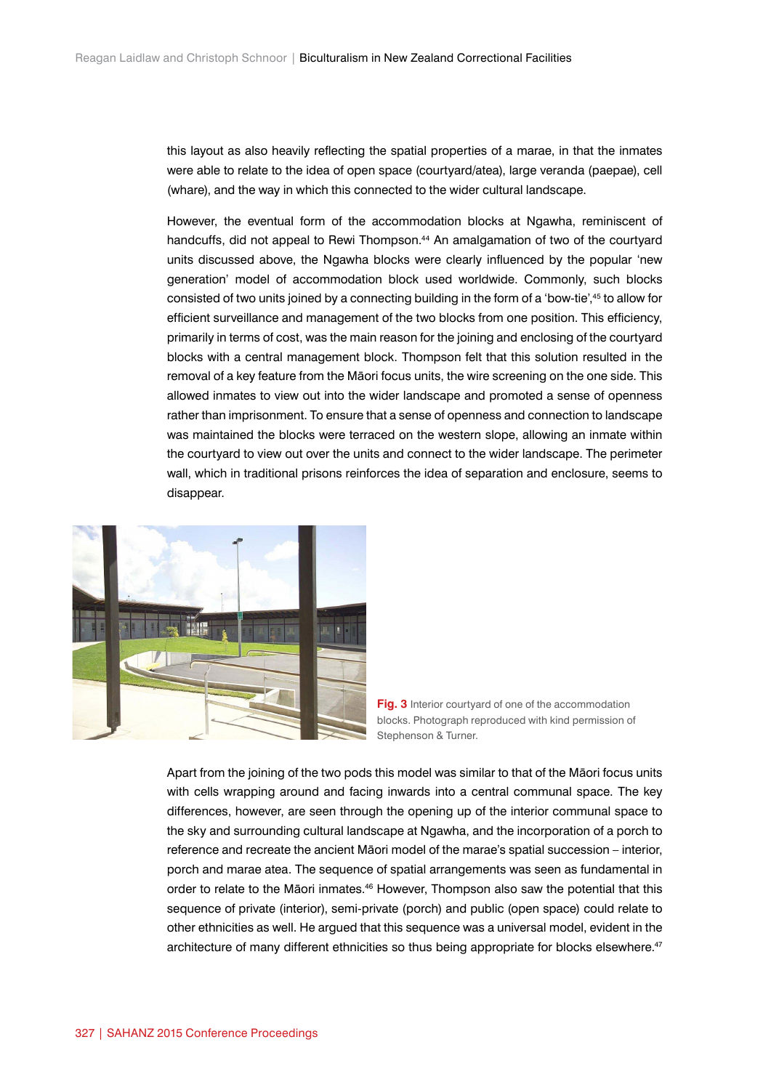this layout as also heavily reflecting the spatial properties of a marae, in that the inmates were able to relate to the idea of open space (courtyard/atea), large veranda (paepae), cell (whare), and the way in which this connected to the wider cultural landscape.

However, the eventual form of the accommodation blocks at Ngawha, reminiscent of handcuffs, did not appeal to Rewi Thompson.<sup>44</sup> An amalgamation of two of the courtyard units discussed above, the Ngawha blocks were clearly influenced by the popular 'new generation' model of accommodation block used worldwide. Commonly, such blocks consisted of two units joined by a connecting building in the form of a 'bow-tie',45 to allow for efficient surveillance and management of the two blocks from one position. This efficiency, primarily in terms of cost, was the main reason for the joining and enclosing of the courtyard blocks with a central management block. Thompson felt that this solution resulted in the removal of a key feature from the Māori focus units, the wire screening on the one side. This allowed inmates to view out into the wider landscape and promoted a sense of openness rather than imprisonment. To ensure that a sense of openness and connection to landscape was maintained the blocks were terraced on the western slope, allowing an inmate within the courtyard to view out over the units and connect to the wider landscape. The perimeter wall, which in traditional prisons reinforces the idea of separation and enclosure, seems to disappear.





Apart from the joining of the two pods this model was similar to that of the Māori focus units with cells wrapping around and facing inwards into a central communal space. The key differences, however, are seen through the opening up of the interior communal space to the sky and surrounding cultural landscape at Ngawha, and the incorporation of a porch to reference and recreate the ancient Māori model of the marae's spatial succession – interior, porch and marae atea. The sequence of spatial arrangements was seen as fundamental in order to relate to the Māori inmates.46 However, Thompson also saw the potential that this sequence of private (interior), semi-private (porch) and public (open space) could relate to other ethnicities as well. He argued that this sequence was a universal model, evident in the architecture of many different ethnicities so thus being appropriate for blocks elsewhere.<sup>47</sup>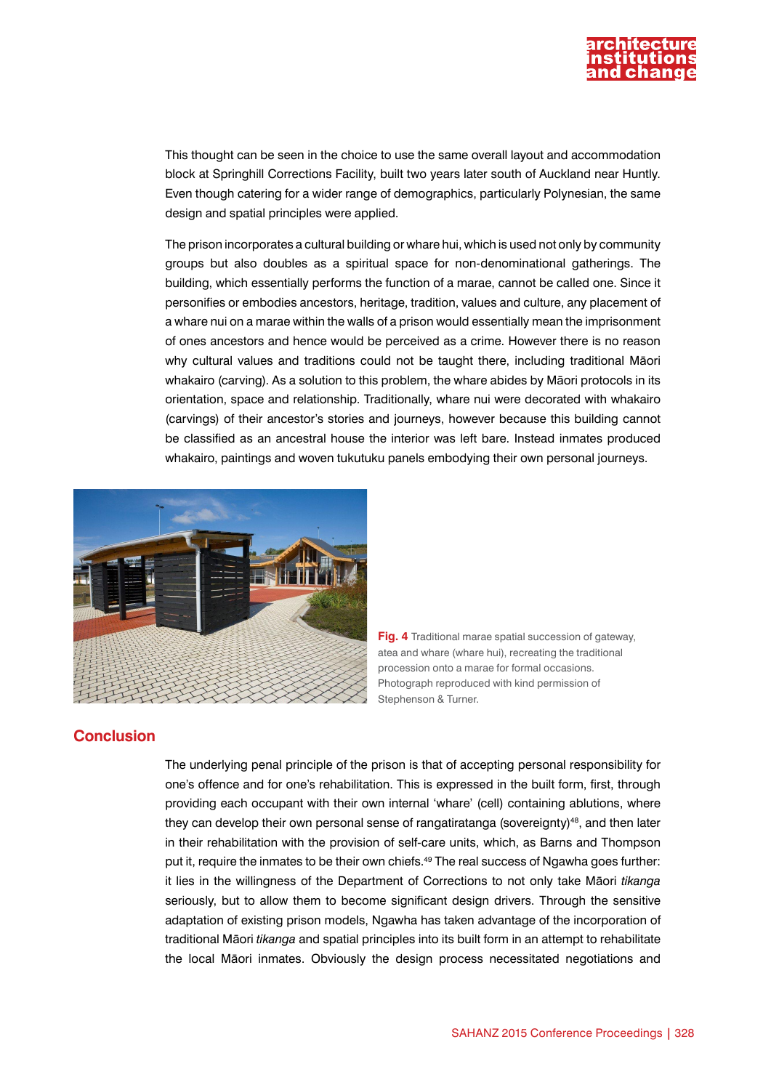

This thought can be seen in the choice to use the same overall layout and accommodation block at Springhill Corrections Facility, built two years later south of Auckland near Huntly. Even though catering for a wider range of demographics, particularly Polynesian, the same design and spatial principles were applied.

The prison incorporates a cultural building or whare hui, which is used not only by community groups but also doubles as a spiritual space for non-denominational gatherings. The building, which essentially performs the function of a marae, cannot be called one. Since it personifies or embodies ancestors, heritage, tradition, values and culture, any placement of a whare nui on a marae within the walls of a prison would essentially mean the imprisonment of ones ancestors and hence would be perceived as a crime. However there is no reason why cultural values and traditions could not be taught there, including traditional Māori whakairo (carving). As a solution to this problem, the whare abides by Māori protocols in its orientation, space and relationship. Traditionally, whare nui were decorated with whakairo (carvings) of their ancestor's stories and journeys, however because this building cannot be classified as an ancestral house the interior was left bare. Instead inmates produced whakairo, paintings and woven tukutuku panels embodying their own personal journeys.





## **Conclusion**

The underlying penal principle of the prison is that of accepting personal responsibility for one's offence and for one's rehabilitation. This is expressed in the built form, first, through providing each occupant with their own internal 'whare' (cell) containing ablutions, where they can develop their own personal sense of rangatiratanga (sovereignty)<sup>48</sup>, and then later in their rehabilitation with the provision of self-care units, which, as Barns and Thompson put it, require the inmates to be their own chiefs.<sup>49</sup> The real success of Ngawha goes further: it lies in the willingness of the Department of Corrections to not only take Māori *tikanga* seriously, but to allow them to become significant design drivers. Through the sensitive adaptation of existing prison models, Ngawha has taken advantage of the incorporation of traditional Māori *tikanga* and spatial principles into its built form in an attempt to rehabilitate the local Māori inmates. Obviously the design process necessitated negotiations and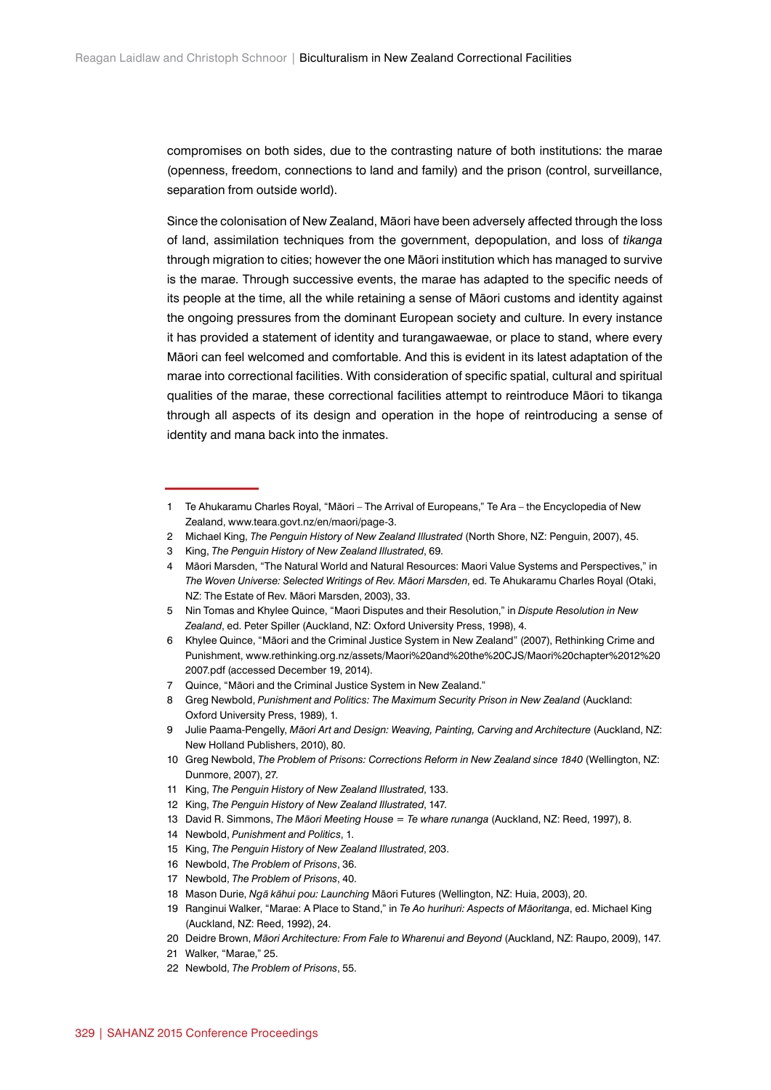compromises on both sides, due to the contrasting nature of both institutions: the marae (openness, freedom, connections to land and family) and the prison (control, surveillance, separation from outside world).

Since the colonisation of New Zealand, Māori have been adversely affected through the loss of land, assimilation techniques from the government, depopulation, and loss of *tikanga* through migration to cities; however the one Māori institution which has managed to survive is the marae. Through successive events, the marae has adapted to the specific needs of its people at the time, all the while retaining a sense of Māori customs and identity against the ongoing pressures from the dominant European society and culture. In every instance it has provided a statement of identity and turangawaewae, or place to stand, where every Māori can feel welcomed and comfortable. And this is evident in its latest adaptation of the marae into correctional facilities. With consideration of specific spatial, cultural and spiritual qualities of the marae, these correctional facilities attempt to reintroduce Māori to tikanga through all aspects of its design and operation in the hope of reintroducing a sense of identity and mana back into the inmates.

- 2 Michael King, *The Penguin History of New Zealand Illustrated* (North Shore, NZ: Penguin, 2007), 45.
- 3 King, *The Penguin History of New Zealand Illustrated*, 69.
- 4 Māori Marsden, "The Natural World and Natural Resources: Maori Value Systems and Perspectives," in *The Woven Universe: Selected Writings of Rev. Māori Marsden*, ed. Te Ahukaramu Charles Royal (Otaki, NZ: The Estate of Rev. Māori Marsden, 2003), 33.
- 5 Nin Tomas and Khylee Quince, "Maori Disputes and their Resolution," in *Dispute Resolution in New Zealand*, ed. Peter Spiller (Auckland, NZ: Oxford University Press, 1998), 4.
- 6 Khylee Quince, "Māori and the Criminal Justice System in New Zealand" (2007), Rethinking Crime and Punishment, www.rethinking.org.nz/assets/Maori%20and%20the%20CJS/Maori%20chapter%2012%20 2007.pdf (accessed December 19, 2014).
- 7 Quince, "Māori and the Criminal Justice System in New Zealand."
- 8 Greg Newbold, *Punishment and Politics: The Maximum Security Prison in New Zealand* (Auckland: Oxford University Press, 1989), 1.

- 10 Greg Newbold, *The Problem of Prisons: Corrections Reform in New Zealand since 1840* (Wellington, NZ: Dunmore, 2007), 27.
- 11 King, *The Penguin History of New Zealand Illustrated*, 133.
- 12 King, *The Penguin History of New Zealand Illustrated*, 147.
- 13 David R. Simmons, *The Māori Meeting House = Te whare runanga* (Auckland, NZ: Reed, 1997), 8.
- 14 Newbold, *Punishment and Politics*, 1.
- 15 King, *The Penguin History of New Zealand Illustrated*, 203.
- 16 Newbold, *The Problem of Prisons*, 36.
- 17 Newbold, *The Problem of Prisons*, 40.
- 18 Mason Durie, *Ngā kāhui pou: Launching* Māori Futures (Wellington, NZ: Huia, 2003), 20.
- 19 Ranginui Walker, "Marae: A Place to Stand," in *Te Ao hurihuri: Aspects of Māoritanga*, ed. Michael King (Auckland, NZ: Reed, 1992), 24.
- 20 Deidre Brown, *Māori Architecture: From Fale to Wharenui and Beyond* (Auckland, NZ: Raupo, 2009), 147.
- 21 Walker, "Marae," 25.
- 22 Newbold, *The Problem of Prisons*, 55.

<sup>1</sup> Te Ahukaramu Charles Royal, "Māori – The Arrival of Europeans," Te Ara – the Encyclopedia of New Zealand, www.teara.govt.nz/en/maori/page-3.

<sup>9</sup> Julie Paama-Pengelly, *Māori Art and Design: Weaving, Painting, Carving and Architecture* (Auckland, NZ: New Holland Publishers, 2010), 80.